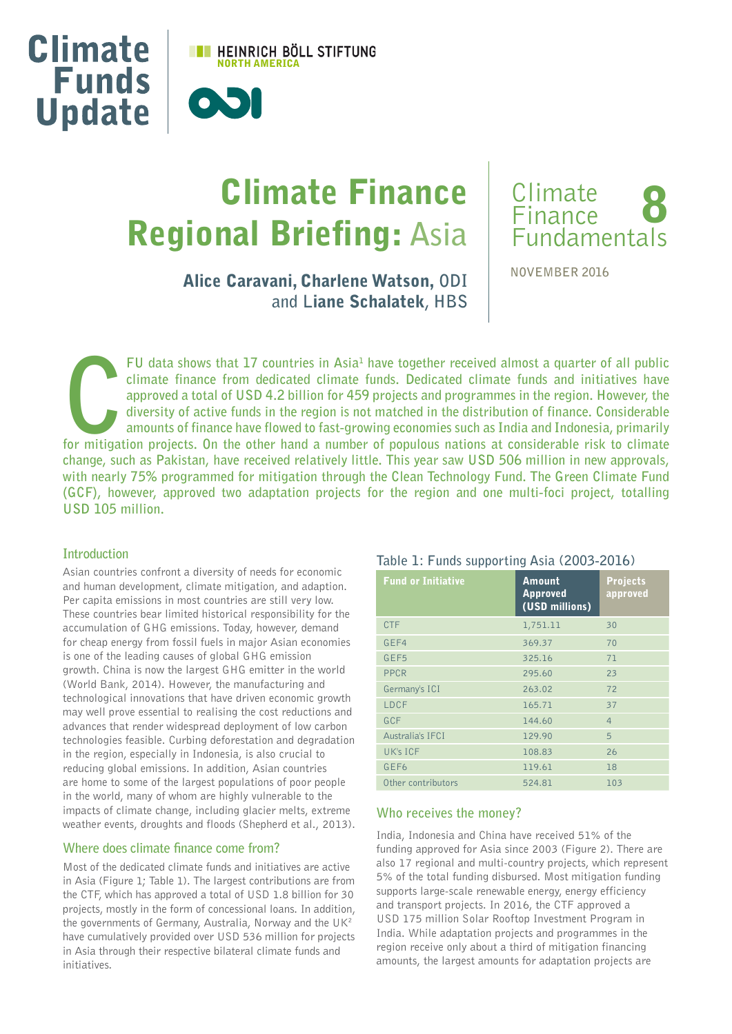

# Climate Finance Regional Briefing: **Asia**



Alice Caravani, Charlene Watson, **ODI and L**iane Schalatek**, HBS** **NOVEMBER 2016** 

**FU data shows that 17 countries in Asia<sup>1</sup> have together received almost a quarter of all public climate finance from dedicated climate funds. Dedicated climate funds and initiatives have approved a total of USD 4.2 billi FU** data shows that 17 countries in Asia<sup>1</sup> have together received almost a quarter of all public **climate finance from dedicated climate funds. Dedicated climate funds and initiatives have approved a total of USD 4.2 billion for 459 projects and programmes in the region. However, the diversity of active funds in the region is not matched in the distribution of finance. Considerable amounts of finance have flowed to fast-growing economies such as India and Indonesia, primarily change, such as Pakistan, have received relatively little. This year saw USD 506 million in new approvals, with nearly 75% programmed for mitigation through the Clean Technology Fund. The Green Climate Fund (GCF), however, approved two adaptation projects for the region and one multi-foci project, totalling USD 105 million.** 

# **Introduction**

Asian countries confront a diversity of needs for economic and human development, climate mitigation, and adaption. Per capita emissions in most countries are still very low. These countries bear limited historical responsibility for the accumulation of GHG emissions. Today, however, demand for cheap energy from fossil fuels in major Asian economies is one of the leading causes of global GHG emission growth. China is now the largest GHG emitter in the world (World Bank, 2014). However, the manufacturing and technological innovations that have driven economic growth may well prove essential to realising the cost reductions and advances that render widespread deployment of low carbon technologies feasible. Curbing deforestation and degradation in the region, especially in Indonesia, is also crucial to reducing global emissions. In addition, Asian countries are home to some of the largest populations of poor people in the world, many of whom are highly vulnerable to the impacts of climate change, including glacier melts, extreme weather events, droughts and floods (Shepherd et al., 2013).

# **Where does climate finance come from?**

Most of the dedicated climate funds and initiatives are active in Asia (Figure 1; Table 1). The largest contributions are from the CTF, which has approved a total of USD 1.8 billion for 30 projects, mostly in the form of concessional loans. In addition, the governments of Germany, Australia, Norway and the UK<sup>2</sup> have cumulatively provided over USD 536 million for projects in Asia through their respective bilateral climate funds and initiatives.

## **Table 1: Funds supporting Asia (2003-2016)**

| <b>Fund or Initiative</b> | <b>Amount</b><br><b>Approved</b><br>(USD millions) | <b>Projects</b><br>approved |
|---------------------------|----------------------------------------------------|-----------------------------|
| <b>CTF</b>                | 1,751.11                                           | 30                          |
| GEF4                      | 369.37                                             | 70                          |
| GEF <sub>5</sub>          | 325.16                                             | 71                          |
| PPCR                      | 295.60                                             | 23                          |
| Germany's ICI             | 263.02                                             | 72                          |
| LDCF                      | 165.71                                             | 37                          |
| GCF                       | 144.60                                             | $\overline{4}$              |
| <b>Australia's IFCI</b>   | 129.90                                             | 5                           |
| UK's ICF                  | 108.83                                             | 26                          |
| GEF <sub>6</sub>          | 119.61                                             | 18                          |
| Other contributors        | 524.81                                             | 103                         |

## **Who receives the money?**

India, Indonesia and China have received 51% of the funding approved for Asia since 2003 (Figure 2). There are also 17 regional and multi-country projects, which represent 5% of the total funding disbursed. Most mitigation funding supports large-scale renewable energy, energy efficiency and transport projects. In 2016, the CTF approved a USD 175 million Solar Rooftop Investment Program in India. While adaptation projects and programmes in the region receive only about a third of mitigation financing amounts, the largest amounts for adaptation projects are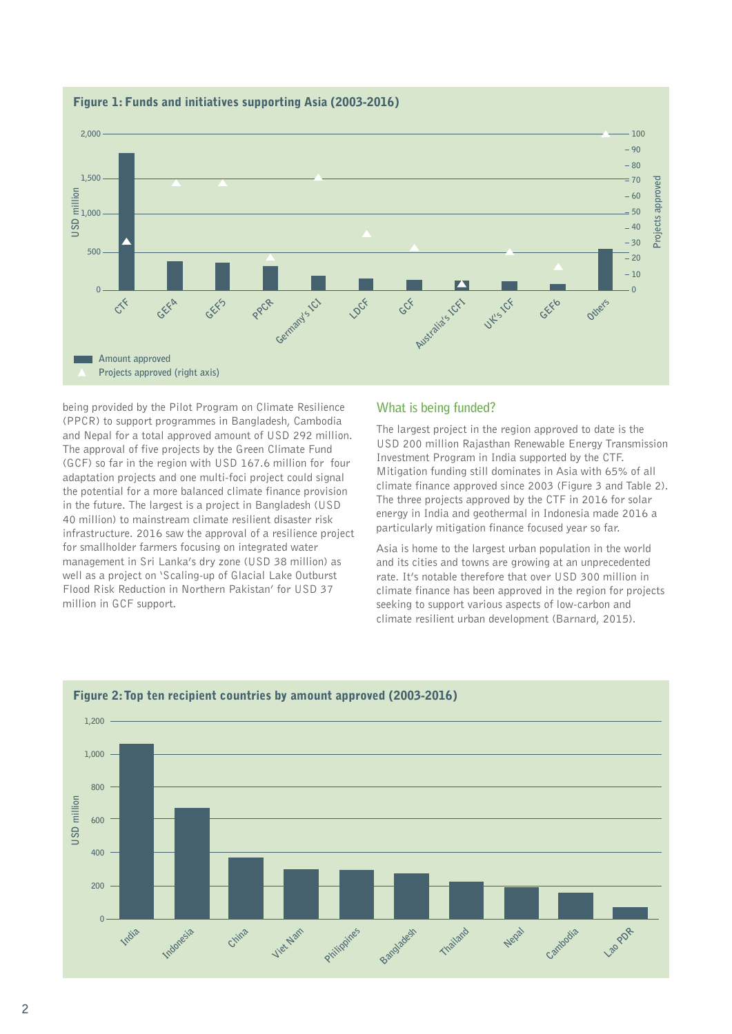

## Figure 1: Funds and initiatives supporting Asia (2003-2016)

being provided by the Pilot Program on Climate Resilience (PPCR) to support programmes in Bangladesh, Cambodia and Nepal for a total approved amount of USD 292 million. The approval of five projects by the Green Climate Fund (GCF) so far in the region with USD 167.6 million for four adaptation projects and one multi-foci project could signal the potential for a more balanced climate finance provision in the future. The largest is a project in Bangladesh (USD 40 million) to mainstream climate resilient disaster risk infrastructure. 2016 saw the approval of a resilience project for smallholder farmers focusing on integrated water management in Sri Lanka's dry zone (USD 38 million) as well as a project on 'Scaling-up of Glacial Lake Outburst Flood Risk Reduction in Northern Pakistan' for USD 37 million in GCF support.

## **What is being funded?**

The largest project in the region approved to date is the USD 200 million Rajasthan Renewable Energy Transmission Investment Program in India supported by the CTF. Mitigation funding still dominates in Asia with 65% of all climate finance approved since 2003 (Figure 3 and Table 2). The three projects approved by the CTF in 2016 for solar energy in India and geothermal in Indonesia made 2016 a particularly mitigation finance focused year so far.

Asia is home to the largest urban population in the world and its cities and towns are growing at an unprecedented rate. It's notable therefore that over USD 300 million in climate finance has been approved in the region for projects seeking to support various aspects of low-carbon and climate resilient urban development (Barnard, 2015).

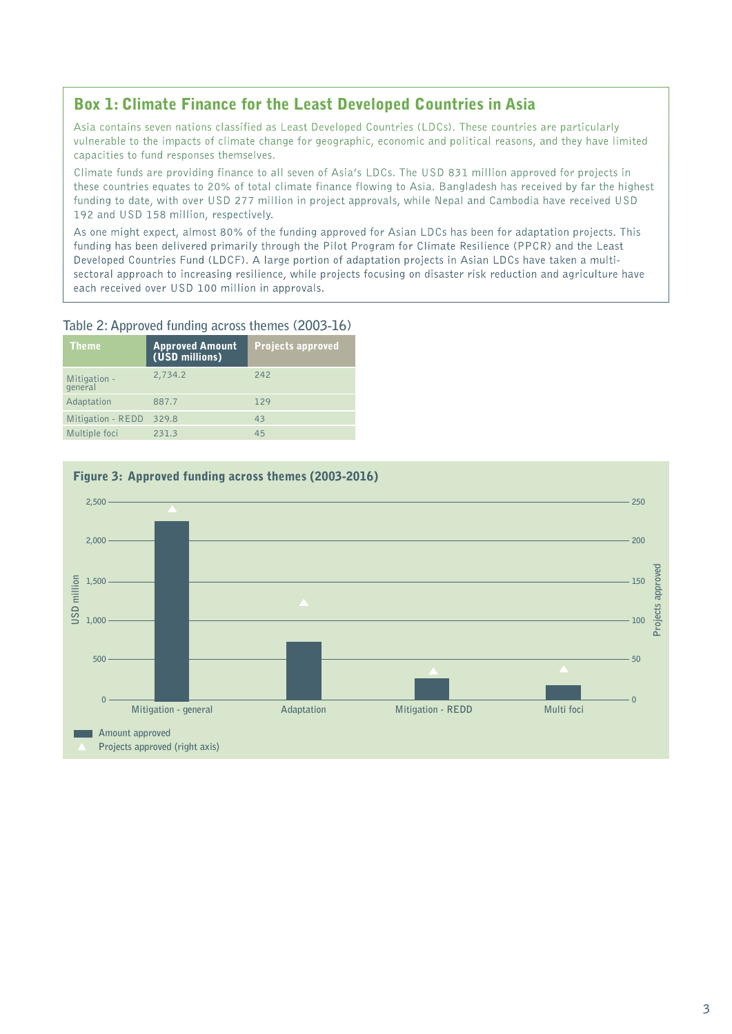# Box 1: Climate Finance for the Least Developed Countries in Asia

Asia contains seven nations classified as Least Developed Countries (LDCs). These countries are particularly vulnerable to the impacts of climate change for geographic, economic and political reasons, and they have limited capacities to fund responses themselves.

Climate funds are providing finance to all seven of Asia's LDCs. The USD 831 million approved for projects in these countries equates to 20% of total climate finance flowing to Asia. Bangladesh has received by far the highest funding to date, with over USD 277 million in project approvals, while Nepal and Cambodia have received USD 192 and USD 158 million, respectively.

As one might expect, almost 80% of the funding approved for Asian LDCs has been for adaptation projects. This funding has been delivered primarily through the Pilot Program for Climate Resilience (PPCR) and the Least Developed Countries Fund (LDCF). A large portion of adaptation projects in Asian LDCs have taken a multisectoral approach to increasing resilience, while projects focusing on disaster risk reduction and agriculture have each received over USD 100 million in approvals.

# **Table 2: Approved funding across themes (2003-16)**

| <b>Theme</b>            | <b>Approved Amount</b><br>(USD millions) | <b>Projects approved</b> |
|-------------------------|------------------------------------------|--------------------------|
| Mitigation -<br>general | 2,734.2                                  | 242                      |
| Adaptation              | 887.7                                    | 129                      |
| Mitigation - REDD       | 329.8                                    | 43                       |
| Multiple foci           | 231.3                                    | 45                       |



# Figure 3: Approved funding across themes (2003-2016)